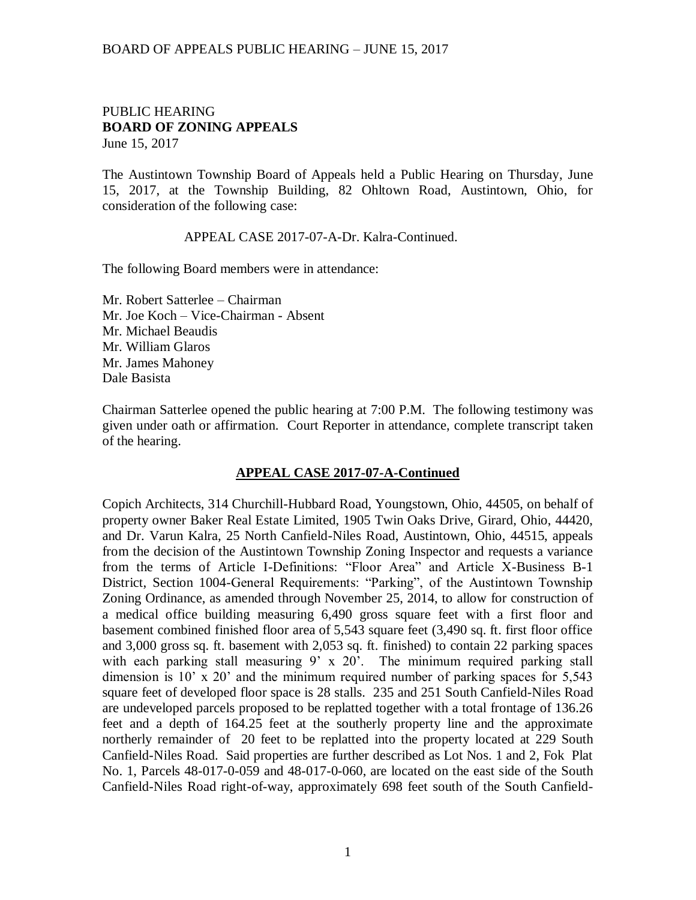#### BOARD OF APPEALS PUBLIC HEARING – JUNE 15, 2017

#### PUBLIC HEARING **BOARD OF ZONING APPEALS**  June 15, 2017

The Austintown Township Board of Appeals held a Public Hearing on Thursday, June 15, 2017, at the Township Building, 82 Ohltown Road, Austintown, Ohio, for consideration of the following case:

APPEAL CASE 2017-07-A-Dr. Kalra-Continued.

The following Board members were in attendance:

Mr. Robert Satterlee – Chairman Mr. Joe Koch – Vice-Chairman - Absent Mr. Michael Beaudis Mr. William Glaros Mr. James Mahoney Dale Basista

Chairman Satterlee opened the public hearing at 7:00 P.M. The following testimony was given under oath or affirmation. Court Reporter in attendance, complete transcript taken of the hearing.

### **APPEAL CASE 2017-07-A-Continued**

Copich Architects, 314 Churchill-Hubbard Road, Youngstown, Ohio, 44505, on behalf of property owner Baker Real Estate Limited, 1905 Twin Oaks Drive, Girard, Ohio, 44420, and Dr. Varun Kalra, 25 North Canfield-Niles Road, Austintown, Ohio, 44515, appeals from the decision of the Austintown Township Zoning Inspector and requests a variance from the terms of Article I-Definitions: "Floor Area" and Article X-Business B-1 District, Section 1004-General Requirements: "Parking", of the Austintown Township Zoning Ordinance, as amended through November 25, 2014, to allow for construction of a medical office building measuring 6,490 gross square feet with a first floor and basement combined finished floor area of 5,543 square feet (3,490 sq. ft. first floor office and 3,000 gross sq. ft. basement with 2,053 sq. ft. finished) to contain 22 parking spaces with each parking stall measuring 9' x 20'. The minimum required parking stall dimension is 10' x 20' and the minimum required number of parking spaces for 5,543 square feet of developed floor space is 28 stalls. 235 and 251 South Canfield-Niles Road are undeveloped parcels proposed to be replatted together with a total frontage of 136.26 feet and a depth of 164.25 feet at the southerly property line and the approximate northerly remainder of 20 feet to be replatted into the property located at 229 South Canfield-Niles Road. Said properties are further described as Lot Nos. 1 and 2, Fok Plat No. 1, Parcels 48-017-0-059 and 48-017-0-060, are located on the east side of the South Canfield-Niles Road right-of-way, approximately 698 feet south of the South Canfield-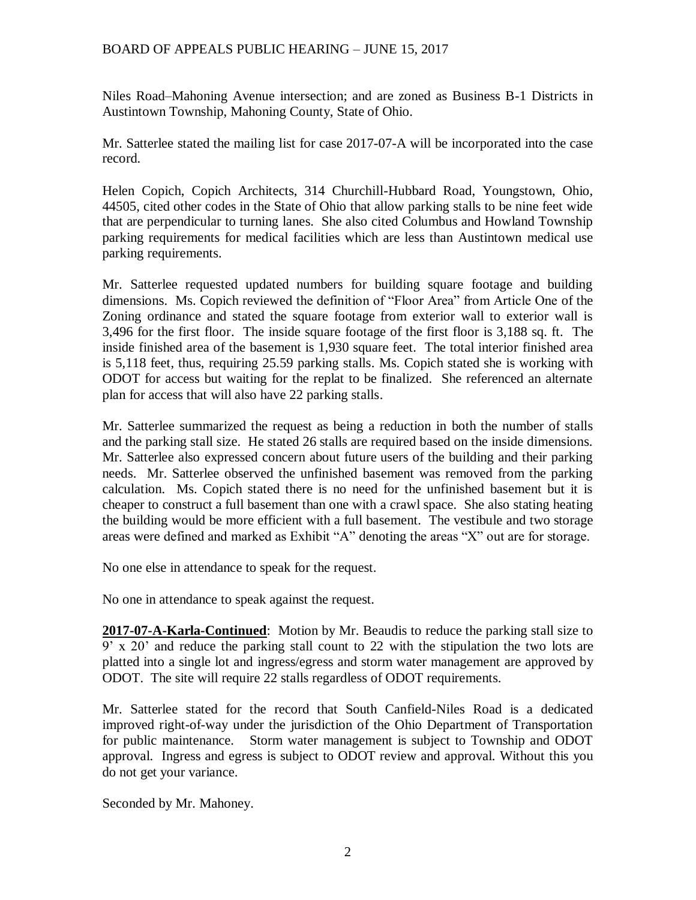## BOARD OF APPEALS PUBLIC HEARING – JUNE 15, 2017

Niles Road–Mahoning Avenue intersection; and are zoned as Business B-1 Districts in Austintown Township, Mahoning County, State of Ohio.

Mr. Satterlee stated the mailing list for case 2017-07-A will be incorporated into the case record.

Helen Copich, Copich Architects, 314 Churchill-Hubbard Road, Youngstown, Ohio, 44505, cited other codes in the State of Ohio that allow parking stalls to be nine feet wide that are perpendicular to turning lanes. She also cited Columbus and Howland Township parking requirements for medical facilities which are less than Austintown medical use parking requirements.

Mr. Satterlee requested updated numbers for building square footage and building dimensions. Ms. Copich reviewed the definition of "Floor Area" from Article One of the Zoning ordinance and stated the square footage from exterior wall to exterior wall is 3,496 for the first floor. The inside square footage of the first floor is 3,188 sq. ft. The inside finished area of the basement is 1,930 square feet. The total interior finished area is 5,118 feet, thus, requiring 25.59 parking stalls. Ms. Copich stated she is working with ODOT for access but waiting for the replat to be finalized. She referenced an alternate plan for access that will also have 22 parking stalls.

Mr. Satterlee summarized the request as being a reduction in both the number of stalls and the parking stall size. He stated 26 stalls are required based on the inside dimensions. Mr. Satterlee also expressed concern about future users of the building and their parking needs. Mr. Satterlee observed the unfinished basement was removed from the parking calculation. Ms. Copich stated there is no need for the unfinished basement but it is cheaper to construct a full basement than one with a crawl space. She also stating heating the building would be more efficient with a full basement. The vestibule and two storage areas were defined and marked as Exhibit "A" denoting the areas "X" out are for storage.

No one else in attendance to speak for the request.

No one in attendance to speak against the request.

**2017-07-A-Karla-Continued**: Motion by Mr. Beaudis to reduce the parking stall size to 9' x 20' and reduce the parking stall count to 22 with the stipulation the two lots are platted into a single lot and ingress/egress and storm water management are approved by ODOT. The site will require 22 stalls regardless of ODOT requirements.

Mr. Satterlee stated for the record that South Canfield-Niles Road is a dedicated improved right-of-way under the jurisdiction of the Ohio Department of Transportation for public maintenance. Storm water management is subject to Township and ODOT approval. Ingress and egress is subject to ODOT review and approval. Without this you do not get your variance.

Seconded by Mr. Mahoney.